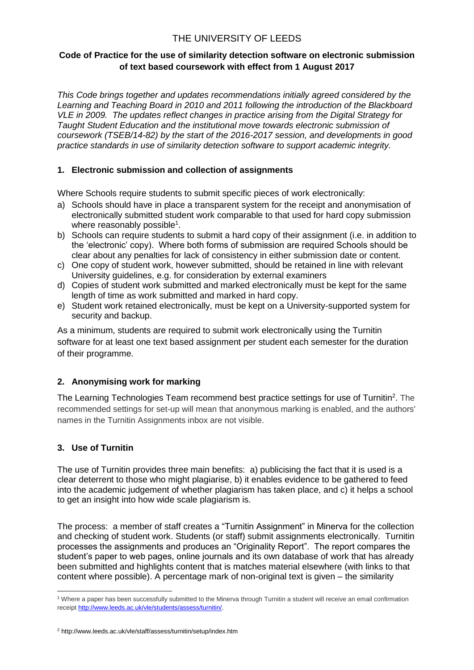# THE UNIVERSITY OF LEEDS

#### **Code of Practice for the use of similarity detection software on electronic submission of text based coursework with effect from 1 August 2017**

*This Code brings together and updates recommendations initially agreed considered by the Learning and Teaching Board in 2010 and 2011 following the introduction of the Blackboard VLE in 2009. The updates reflect changes in practice arising from the Digital Strategy for Taught Student Education and the institutional move towards electronic submission of coursework (TSEB/14-82) by the start of the 2016-2017 session, and developments in good practice standards in use of similarity detection software to support academic integrity.*

# **1. Electronic submission and collection of assignments**

Where Schools require students to submit specific pieces of work electronically:

- a) Schools should have in place a transparent system for the receipt and anonymisation of electronically submitted student work comparable to that used for hard copy submission where reasonably possible<sup>1</sup>.
- b) Schools can require students to submit a hard copy of their assignment (i.e. in addition to the 'electronic' copy). Where both forms of submission are required Schools should be clear about any penalties for lack of consistency in either submission date or content.
- c) One copy of student work, however submitted, should be retained in line with relevant University guidelines, e.g. for consideration by external examiners
- d) Copies of student work submitted and marked electronically must be kept for the same length of time as work submitted and marked in hard copy.
- e) Student work retained electronically, must be kept on a University-supported system for security and backup.

As a minimum, students are required to submit work electronically using the Turnitin software for at least one text based assignment per student each semester for the duration of their programme*.*

# **2. Anonymising work for marking**

The Learning Technologies Team recommend best practice settings for use of Turnitin<sup>2</sup>. The recommended settings for set-up will mean that anonymous marking is enabled, and the authors' names in the Turnitin Assignments inbox are not visible.

# **3. Use of Turnitin**

The use of Turnitin provides three main benefits: a) publicising the fact that it is used is a clear deterrent to those who might plagiarise, b) it enables evidence to be gathered to feed into the academic judgement of whether plagiarism has taken place, and c) it helps a school to get an insight into how wide scale plagiarism is.

The process: a member of staff creates a "Turnitin Assignment" in Minerva for the collection and checking of student work. Students (or staff) submit assignments electronically. Turnitin processes the assignments and produces an "Originality Report". The report compares the student's paper to web pages, online journals and its own database of work that has already been submitted and highlights content that is matches material elsewhere (with links to that content where possible). A percentage mark of non-original text is given – the similarity

<sup>1</sup> <sup>1</sup> Where a paper has been successfully submitted to the Minerva through Turnitin a student will receive an email confirmation receipt [http://www.leeds.ac.uk/vle/students/assess/turnitin/.](http://www.leeds.ac.uk/vle/students/assess/turnitin/)

<sup>2</sup> http://www.leeds.ac.uk/vle/staff/assess/turnitin/setup/index.htm